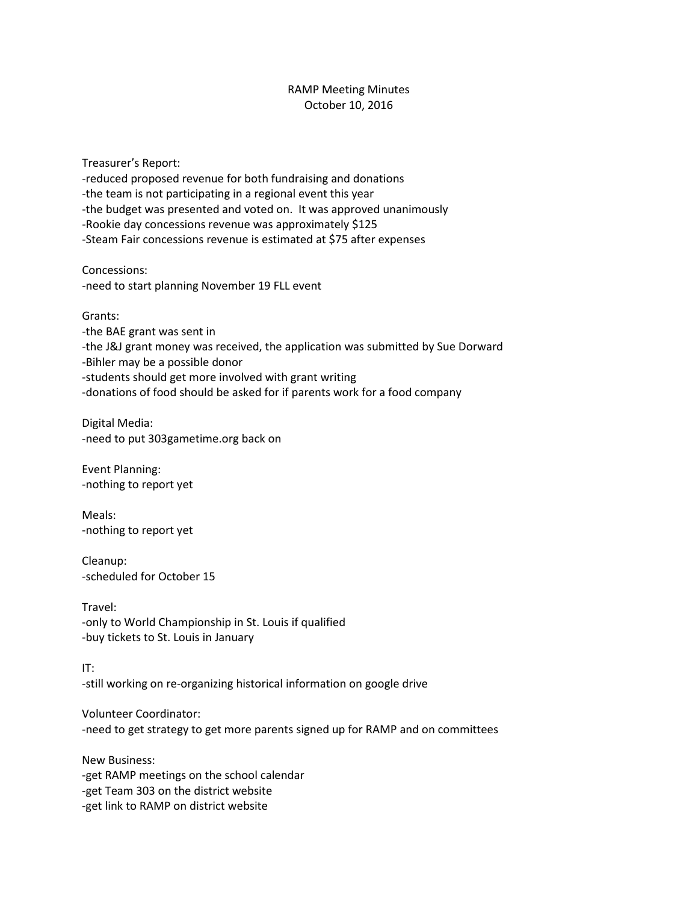## RAMP Meeting Minutes October 10, 2016

Treasurer's Report: -reduced proposed revenue for both fundraising and donations -the team is not participating in a regional event this year -the budget was presented and voted on. It was approved unanimously -Rookie day concessions revenue was approximately \$125 -Steam Fair concessions revenue is estimated at \$75 after expenses

Concessions: -need to start planning November 19 FLL event

Grants:

-the BAE grant was sent in -the J&J grant money was received, the application was submitted by Sue Dorward -Bihler may be a possible donor -students should get more involved with grant writing -donations of food should be asked for if parents work for a food company

Digital Media: -need to put 303gametime.org back on

Event Planning: -nothing to report yet

Meals: -nothing to report yet

Cleanup: -scheduled for October 15

Travel: -only to World Championship in St. Louis if qualified -buy tickets to St. Louis in January

IT: -still working on re-organizing historical information on google drive

Volunteer Coordinator: -need to get strategy to get more parents signed up for RAMP and on committees

New Business: -get RAMP meetings on the school calendar -get Team 303 on the district website -get link to RAMP on district website